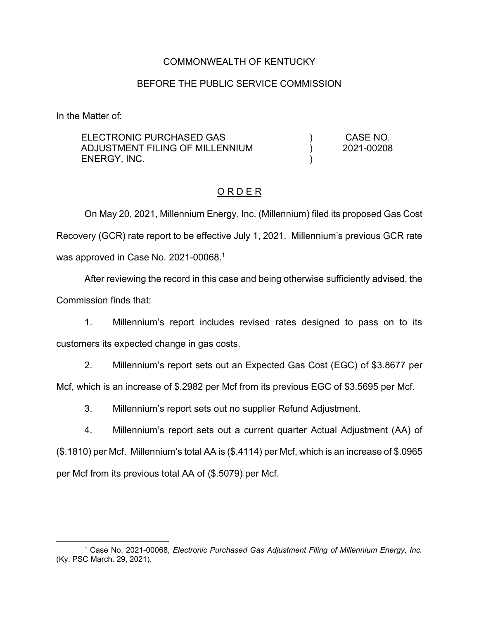# COMMONWEALTH OF KENTUCKY

# BEFORE THE PUBLIC SERVICE COMMISSION

In the Matter of:

| ELECTRONIC PURCHASED GAS        | CASE NO.   |
|---------------------------------|------------|
| ADJUSTMENT FILING OF MILLENNIUM | 2021-00208 |
| ENERGY, INC.                    |            |

# O R D E R

On May 20, 2021, Millennium Energy, Inc. (Millennium) filed its proposed Gas Cost Recovery (GCR) rate report to be effective July 1, 2021. Millennium's previous GCR rate was approved in Case No. 2021-00068.<sup>1</sup>

After reviewing the record in this case and being otherwise sufficiently advised, the Commission finds that:

1. Millennium's report includes revised rates designed to pass on to its customers its expected change in gas costs.

2. Millennium's report sets out an Expected Gas Cost (EGC) of \$3.8677 per Mcf, which is an increase of \$.2982 per Mcf from its previous EGC of \$3.5695 per Mcf.

3. Millennium's report sets out no supplier Refund Adjustment.

4. Millennium's report sets out a current quarter Actual Adjustment (AA) of (\$.1810) per Mcf. Millennium's total AA is (\$.4114) per Mcf, which is an increase of \$.0965 per Mcf from its previous total AA of (\$.5079) per Mcf.

<sup>1</sup> Case No. 2021-00068, *Electronic Purchased Gas Adjustment Filing of Millennium Energy, Inc.*  (Ky. PSC March. 29, 2021).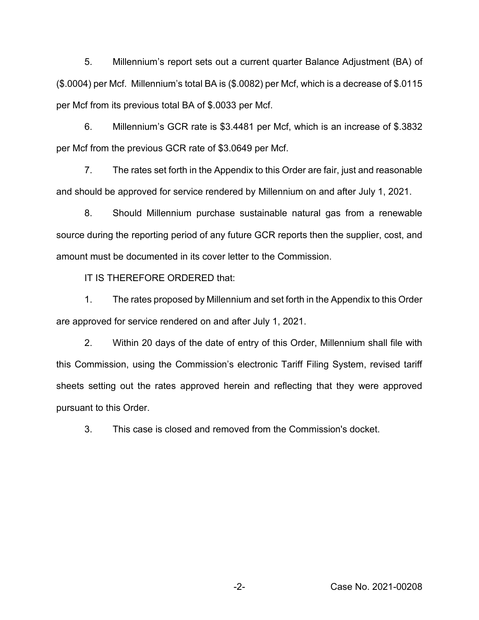5. Millennium's report sets out a current quarter Balance Adjustment (BA) of (\$.0004) per Mcf. Millennium's total BA is (\$.0082) per Mcf, which is a decrease of \$.0115 per Mcf from its previous total BA of \$.0033 per Mcf.

6. Millennium's GCR rate is \$3.4481 per Mcf, which is an increase of \$.3832 per Mcf from the previous GCR rate of \$3.0649 per Mcf.

7. The rates set forth in the Appendix to this Order are fair, just and reasonable and should be approved for service rendered by Millennium on and after July 1, 2021.

8. Should Millennium purchase sustainable natural gas from a renewable source during the reporting period of any future GCR reports then the supplier, cost, and amount must be documented in its cover letter to the Commission.

IT IS THEREFORE ORDERED that:

1. The rates proposed by Millennium and set forth in the Appendix to this Order are approved for service rendered on and after July 1, 2021.

2. Within 20 days of the date of entry of this Order, Millennium shall file with this Commission, using the Commission's electronic Tariff Filing System, revised tariff sheets setting out the rates approved herein and reflecting that they were approved pursuant to this Order.

3. This case is closed and removed from the Commission's docket.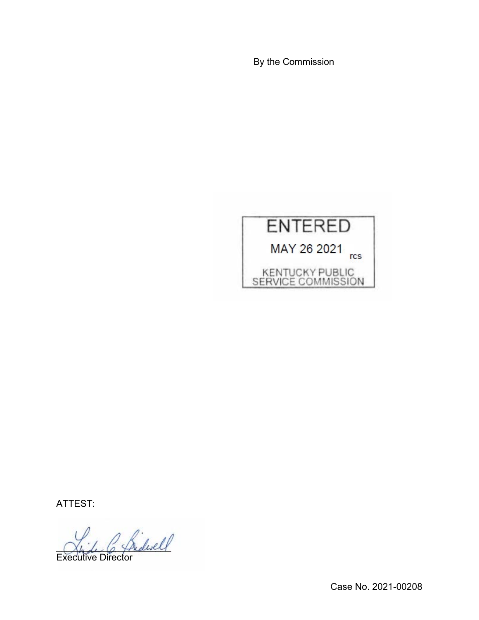By the Commission



ATTEST:

. C friderell

Executive Director

Case No. 2021-00208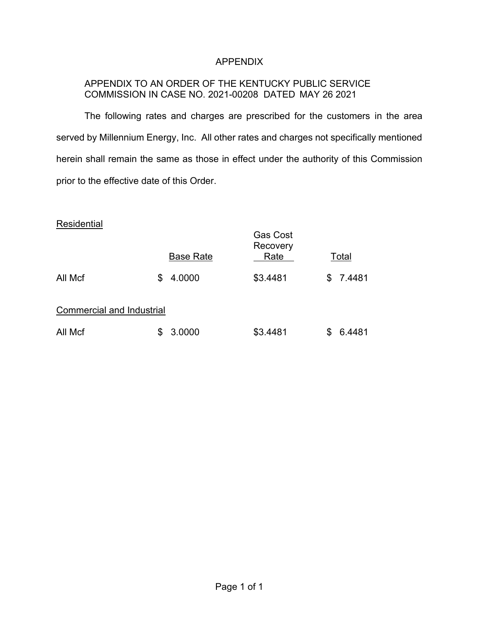# APPENDIX

# APPENDIX TO AN ORDER OF THE KENTUCKY PUBLIC SERVICE COMMISSION IN CASE NO. 2021-00208 DATED MAY 26 2021

The following rates and charges are prescribed for the customers in the area served by Millennium Energy, Inc. All other rates and charges not specifically mentioned herein shall remain the same as those in effect under the authority of this Commission prior to the effective date of this Order.

### **Residential**

|                                  |     | <b>Base Rate</b> | <b>Gas Cost</b><br>Recovery<br>Rate |     | Total  |  |  |
|----------------------------------|-----|------------------|-------------------------------------|-----|--------|--|--|
| All Mcf                          | S   | 4.0000           | \$3.4481                            | \$. | 7.4481 |  |  |
| <b>Commercial and Industrial</b> |     |                  |                                     |     |        |  |  |
| All Mcf                          | \$. | 3.0000           | \$3.4481                            | S   | 6.4481 |  |  |